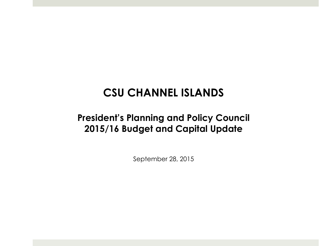## **CSU CHANNEL ISLANDS**

### **President's Planning and Policy Council 2015/16 Budget and Capital Update**

September 28, 2015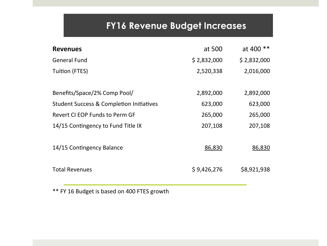## **FY16 Revenue Budget Increases**

| <b>Revenues</b>                                     | at 500      | at 400 **   |
|-----------------------------------------------------|-------------|-------------|
| <b>General Fund</b>                                 | \$2,832,000 | \$2,832,000 |
| <b>Tuition (FTES)</b>                               | 2,520,338   | 2,016,000   |
|                                                     |             |             |
| Benefits/Space/2% Comp Pool/                        | 2,892,000   | 2,892,000   |
| <b>Student Success &amp; Completion Initiatives</b> | 623,000     | 623,000     |
| Revert CI EOP Funds to Perm GF                      | 265,000     | 265,000     |
| 14/15 Contingency to Fund Title IX                  | 207,108     | 207,108     |
|                                                     |             |             |
| 14/15 Contingency Balance                           | 86,830      | 86,830      |
|                                                     |             |             |
| <b>Total Revenues</b>                               | \$9,426,276 | \$8,921,938 |
|                                                     |             |             |

\*\* FY 16 Budget is based on 400 FTES growth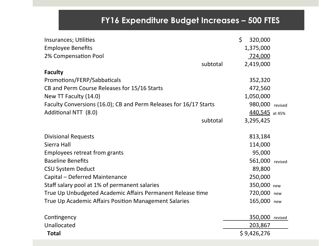### **FY16 Expenditure Budget Increases – 500 FTES**

| Insurances; Utilities                                             | \$<br>320,000 |                 |
|-------------------------------------------------------------------|---------------|-----------------|
| <b>Employee Benefits</b>                                          | 1,375,000     |                 |
| 2% Compensation Pool                                              | 724,000       |                 |
| subtotal                                                          | 2,419,000     |                 |
| <b>Faculty</b>                                                    |               |                 |
| Promotions/FERP/Sabbaticals                                       | 352,320       |                 |
| CB and Perm Course Releases for 15/16 Starts                      | 472,560       |                 |
| New TT Faculty (14.0)                                             | 1,050,000     |                 |
| Faculty Conversions (16.0); CB and Perm Releases for 16/17 Starts |               | 980,000 revised |
| Additional NTT (8.0)                                              |               | 440,545 at 45%  |
| subtotal                                                          | 3,295,425     |                 |
| <b>Divisional Requests</b>                                        | 813,184       |                 |
| Sierra Hall                                                       | 114,000       |                 |
| Employees retreat from grants                                     | 95,000        |                 |
| <b>Baseline Benefits</b>                                          |               | 561,000 revised |
| <b>CSU System Deduct</b>                                          | 89,800        |                 |
| Capital - Deferred Maintenance                                    | 250,000       |                 |
| Staff salary pool at 1% of permanent salaries                     | 350,000       |                 |
|                                                                   | 720,000       | new             |
| True Up Unbudgeted Academic Affairs Permanent Release time        |               | new             |
| True Up Academic Affairs Position Management Salaries             | 165,000       | new             |
| Contingency                                                       |               | 350,000 revised |
| Unallocated                                                       | 203,867       |                 |
| <b>Total</b>                                                      | \$9,426,276   |                 |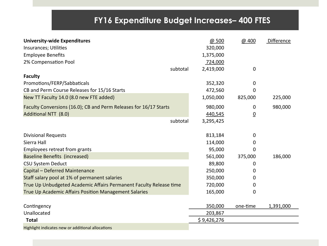### **FY16 Expenditure Budget Increases– 400 FTES**

| <b>University-wide Expenditures</b>                                | @ 500       | @ 400          | Difference |
|--------------------------------------------------------------------|-------------|----------------|------------|
| Insurances; Utilities                                              | 320,000     |                |            |
| <b>Employee Benefits</b>                                           | 1,375,000   |                |            |
| 2% Compensation Pool                                               | 724,000     |                |            |
| subtotal                                                           | 2,419,000   | 0              |            |
| <b>Faculty</b>                                                     |             |                |            |
| Promotions/FERP/Sabbaticals                                        | 352,320     | 0              |            |
| CB and Perm Course Releases for 15/16 Starts                       | 472,560     | 0              |            |
| New TT Faculty 14.0 (8.0 new FTE added)                            | 1,050,000   | 825,000        | 225,000    |
| Faculty Conversions (16.0); CB and Perm Releases for 16/17 Starts  | 980,000     | 0              | 980,000    |
| <b>Additional NTT (8.0)</b>                                        | 440,545     | $\overline{0}$ |            |
| subtotal                                                           | 3,295,425   |                |            |
| <b>Divisional Requests</b>                                         | 813,184     | 0              |            |
| Sierra Hall                                                        | 114,000     | 0              |            |
| <b>Employees retreat from grants</b>                               | 95,000      | 0              |            |
| Baseline Benefits (increased)                                      | 561,000     | 375,000        | 186,000    |
| <b>CSU System Deduct</b>                                           | 89,800      | 0              |            |
| Capital - Deferred Maintenance                                     | 250,000     | 0              |            |
| Staff salary pool at 1% of permanent salaries                      | 350,000     | 0              |            |
| True Up Unbudgeted Academic Affairs Permanent Faculty Release time | 720,000     | 0              |            |
| True Up Academic Affairs Position Management Salaries              | 165,000     | 0              |            |
|                                                                    |             |                |            |
| Contingency                                                        | 350,000     | one-time       | 1,391,000  |
| Unallocated                                                        | 203,867     |                |            |
| <b>Total</b>                                                       | \$9,426,276 |                |            |
| Highlight indicates new or additional allocations                  |             |                |            |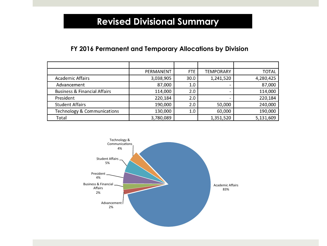### **Revised Divisional Summary**

#### **FY 2016 Permanent and Temporary Allocations by Division**

|                                         | PERMANENT | <b>FTE</b> | <b>TEMPORARY</b>         | TOTAL     |
|-----------------------------------------|-----------|------------|--------------------------|-----------|
| <b>Academic Affairs</b>                 | 3,038,905 | 30.0       | 1,241,520                | 4,280,425 |
| Advancement                             | 87,000    | 1.0        | -                        | 87,000    |
| <b>Business &amp; Financial Affairs</b> | 114,000   | 2.0        | $\overline{\phantom{0}}$ | 114,000   |
| President                               | 220,184   | 2.0        | $\overline{\phantom{0}}$ | 220,184   |
| <b>Student Affairs</b>                  | 190,000   | 2.0        | 50,000                   | 240,000   |
| Technology & Communications             | 130,000   | 1.0        | 60,000                   | 190,000   |
| Total                                   | 3,780,089 |            | 1,351,520                | 5,131,609 |

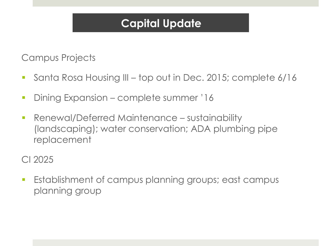# **Capital Update**

Campus Projects

- § Santa Rosa Housing III top out in Dec. 2015; complete 6/16
- **Dining Expansion complete summer '16**
- **Renewal/Deferred Maintenance sustainability** (landscaping); water conservation; ADA plumbing pipe replacement

CI 2025

§ Establishment of campus planning groups; east campus planning group